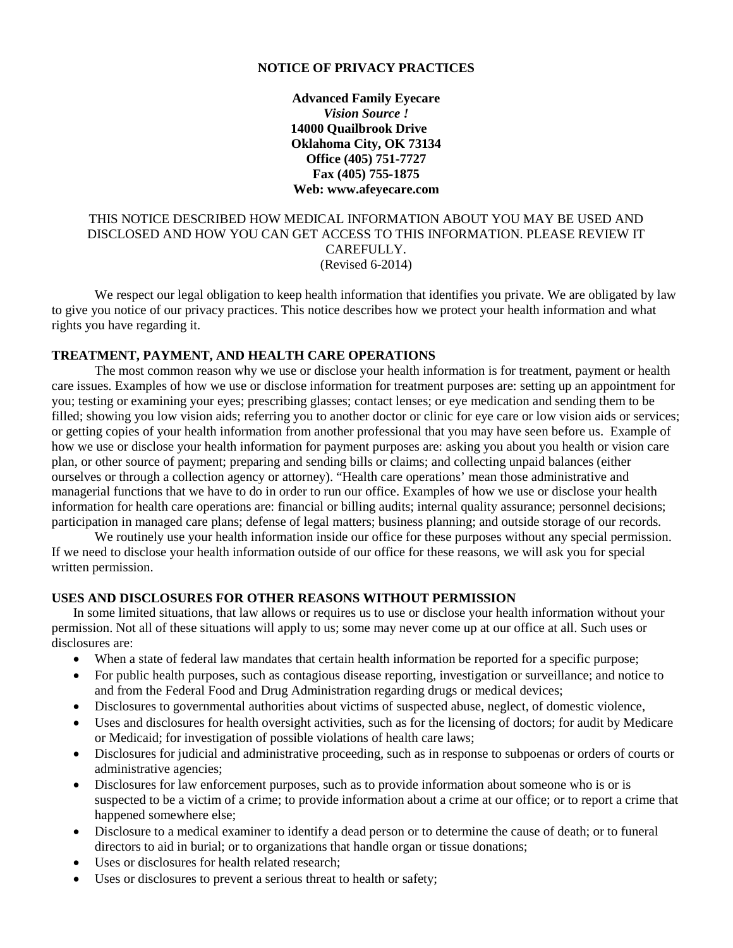#### **NOTICE OF PRIVACY PRACTICES**

**Advanced Family Eyecare** *Vision Source !*  **14000 Quailbrook Drive Oklahoma City, OK 73134 Office (405) 751-7727 Fax (405) 755-1875 Web: [www.afeyecare.com](http://www.afeyecare.com/)**

## THIS NOTICE DESCRIBED HOW MEDICAL INFORMATION ABOUT YOU MAY BE USED AND DISCLOSED AND HOW YOU CAN GET ACCESS TO THIS INFORMATION. PLEASE REVIEW IT CAREFULLY. (Revised 6-2014)

We respect our legal obligation to keep health information that identifies you private. We are obligated by law to give you notice of our privacy practices. This notice describes how we protect your health information and what rights you have regarding it.

# **TREATMENT, PAYMENT, AND HEALTH CARE OPERATIONS**

The most common reason why we use or disclose your health information is for treatment, payment or health care issues. Examples of how we use or disclose information for treatment purposes are: setting up an appointment for you; testing or examining your eyes; prescribing glasses; contact lenses; or eye medication and sending them to be filled; showing you low vision aids; referring you to another doctor or clinic for eye care or low vision aids or services; or getting copies of your health information from another professional that you may have seen before us. Example of how we use or disclose your health information for payment purposes are: asking you about you health or vision care plan, or other source of payment; preparing and sending bills or claims; and collecting unpaid balances (either ourselves or through a collection agency or attorney). "Health care operations' mean those administrative and managerial functions that we have to do in order to run our office. Examples of how we use or disclose your health information for health care operations are: financial or billing audits; internal quality assurance; personnel decisions; participation in managed care plans; defense of legal matters; business planning; and outside storage of our records.

We routinely use your health information inside our office for these purposes without any special permission. If we need to disclose your health information outside of our office for these reasons, we will ask you for special written permission.

### **USES AND DISCLOSURES FOR OTHER REASONS WITHOUT PERMISSION**

In some limited situations, that law allows or requires us to use or disclose your health information without your permission. Not all of these situations will apply to us; some may never come up at our office at all. Such uses or disclosures are:

- When a state of federal law mandates that certain health information be reported for a specific purpose;
- For public health purposes, such as contagious disease reporting, investigation or surveillance; and notice to and from the Federal Food and Drug Administration regarding drugs or medical devices;
- Disclosures to governmental authorities about victims of suspected abuse, neglect, of domestic violence,
- Uses and disclosures for health oversight activities, such as for the licensing of doctors; for audit by Medicare or Medicaid; for investigation of possible violations of health care laws;
- Disclosures for judicial and administrative proceeding, such as in response to subpoenas or orders of courts or administrative agencies;
- Disclosures for law enforcement purposes, such as to provide information about someone who is or is suspected to be a victim of a crime; to provide information about a crime at our office; or to report a crime that happened somewhere else;
- Disclosure to a medical examiner to identify a dead person or to determine the cause of death; or to funeral directors to aid in burial; or to organizations that handle organ or tissue donations;
- Uses or disclosures for health related research;
- Uses or disclosures to prevent a serious threat to health or safety;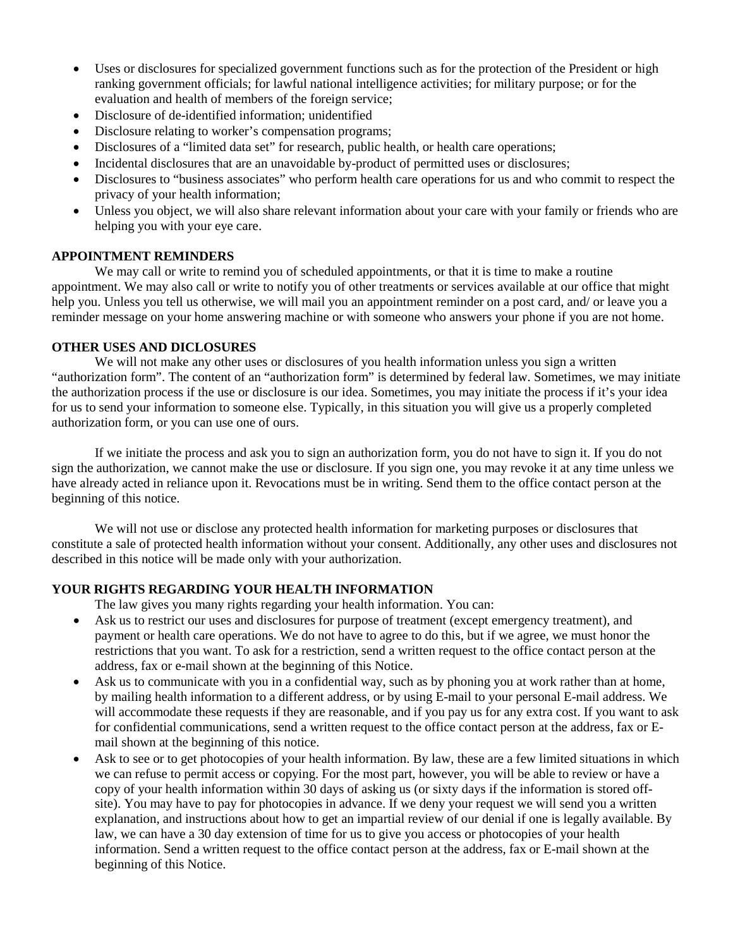- Uses or disclosures for specialized government functions such as for the protection of the President or high ranking government officials; for lawful national intelligence activities; for military purpose; or for the evaluation and health of members of the foreign service;
- Disclosure of de-identified information; unidentified
- Disclosure relating to worker's compensation programs;
- Disclosures of a "limited data set" for research, public health, or health care operations;
- Incidental disclosures that are an unavoidable by-product of permitted uses or disclosures;
- Disclosures to "business associates" who perform health care operations for us and who commit to respect the privacy of your health information;
- Unless you object, we will also share relevant information about your care with your family or friends who are helping you with your eye care.

### **APPOINTMENT REMINDERS**

We may call or write to remind you of scheduled appointments, or that it is time to make a routine appointment. We may also call or write to notify you of other treatments or services available at our office that might help you. Unless you tell us otherwise, we will mail you an appointment reminder on a post card, and/ or leave you a reminder message on your home answering machine or with someone who answers your phone if you are not home.

### **OTHER USES AND DICLOSURES**

We will not make any other uses or disclosures of you health information unless you sign a written "authorization form". The content of an "authorization form" is determined by federal law. Sometimes, we may initiate the authorization process if the use or disclosure is our idea. Sometimes, you may initiate the process if it's your idea for us to send your information to someone else. Typically, in this situation you will give us a properly completed authorization form, or you can use one of ours.

If we initiate the process and ask you to sign an authorization form, you do not have to sign it. If you do not sign the authorization, we cannot make the use or disclosure. If you sign one, you may revoke it at any time unless we have already acted in reliance upon it. Revocations must be in writing. Send them to the office contact person at the beginning of this notice.

We will not use or disclose any protected health information for marketing purposes or disclosures that constitute a sale of protected health information without your consent. Additionally, any other uses and disclosures not described in this notice will be made only with your authorization.

### **YOUR RIGHTS REGARDING YOUR HEALTH INFORMATION**

The law gives you many rights regarding your health information. You can:

- Ask us to restrict our uses and disclosures for purpose of treatment (except emergency treatment), and payment or health care operations. We do not have to agree to do this, but if we agree, we must honor the restrictions that you want. To ask for a restriction, send a written request to the office contact person at the address, fax or e-mail shown at the beginning of this Notice.
- Ask us to communicate with you in a confidential way, such as by phoning you at work rather than at home, by mailing health information to a different address, or by using E-mail to your personal E-mail address. We will accommodate these requests if they are reasonable, and if you pay us for any extra cost. If you want to ask for confidential communications, send a written request to the office contact person at the address, fax or Email shown at the beginning of this notice.
- Ask to see or to get photocopies of your health information. By law, these are a few limited situations in which we can refuse to permit access or copying. For the most part, however, you will be able to review or have a copy of your health information within 30 days of asking us (or sixty days if the information is stored offsite). You may have to pay for photocopies in advance. If we deny your request we will send you a written explanation, and instructions about how to get an impartial review of our denial if one is legally available. By law, we can have a 30 day extension of time for us to give you access or photocopies of your health information. Send a written request to the office contact person at the address, fax or E-mail shown at the beginning of this Notice.